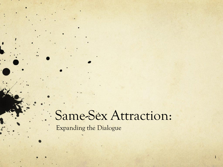# Same-Sex Attraction:

1

Expanding the Dialogue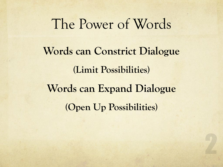# The Power of Words **Words can Constrict Dialogue (Limit Possibilities) Words can Expand Dialogue (Open Up Possibilities)**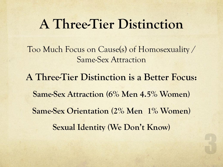### **A Three-Tier Distinction**

Too Much Focus on Cause(s) of Homosexuality / Same-Sex Attraction

**A Three-Tier Distinction is a Better Focus: Same-Sex Attraction (6% Men 4.5% Women) Same-Sex Orientation (2% Men 1% Women) Sexual Identity (We Don't Know)**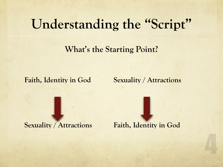**What's the Starting Point?**

**Faith, Identity in God Sexuality / Attractions** 

**Sexuality / Attractions Faith, Identity in God**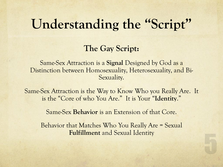#### **The Gay Script:**

Same-Sex Attraction is a **Signal** Designed by God as a Distinction between Homosexuality, Heterosexuality, and Bi-Sexuality.

Same-Sex Attraction is the Way to Know Who you Really Are. It is the "Core of who You Are." It is Your "**Identity**."

Same-Sex **Behavior** is an Extension of that Core.

Behavior that Matches Who You Really Are = Sexual **Fulfillment** and Sexual Identity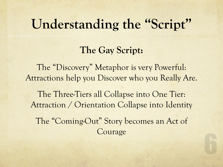#### **The Gay Script:**

The "Discovery" Metaphor is very Powerful: Attractions help you Discover who you Really Are.

The Three-Tiers all Collapse into One Tier: Attraction / Orientation Collapse into Identity The "Coming-Out" Story becomes an Act of

Courage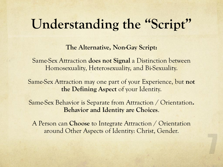**The Alternative, Non-Gay Script:** 

Same-Sex Attraction **does not Signal** a Distinction between Homosexuality, Heterosexuality, and Bi-Sexuality.

Same-Sex Attraction may one part of your Experience, but **not the Defining Aspect** of your Identity.

Same-Sex Behavior is Separate from Attraction / Orientation**. Behavior and Identity are Choices**.

A Person can **Choose** to Integrate Attraction / Orientation around Other Aspects of Identity: Christ, Gender.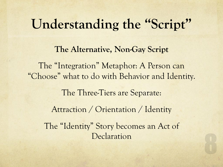**The Alternative, Non-Gay Script**  The "Integration" Metaphor: A Person can "Choose" what to do with Behavior and Identity. The Three-Tiers are Separate:

Attraction / Orientation / Identity

The "Identity" Story becomes an Act of Declaration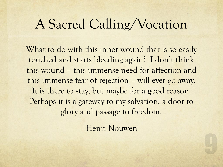### A Sacred Calling/Vocation

What to do with this inner wound that is so easily touched and starts bleeding again? I don't think this wound – this immense need for affection and this immense fear of rejection – will ever go away. It is there to stay, but maybe for a good reason. Perhaps it is a gateway to my salvation, a door to glory and passage to freedom.

Henri Nouwen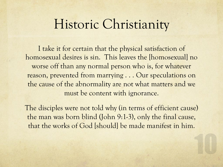### Historic Christianity

I take it for certain that the physical satisfaction of homosexual desires is sin. This leaves the [homosexual] no worse off than any normal person who is, for whatever reason, prevented from marrying . . . Our speculations on the cause of the abnormality are not what matters and we must be content with ignorance.

The disciples were not told why (in terms of efficient cause) the man was born blind (John 9:1-3), only the final cause, that the works of God [should] be made manifest in him.